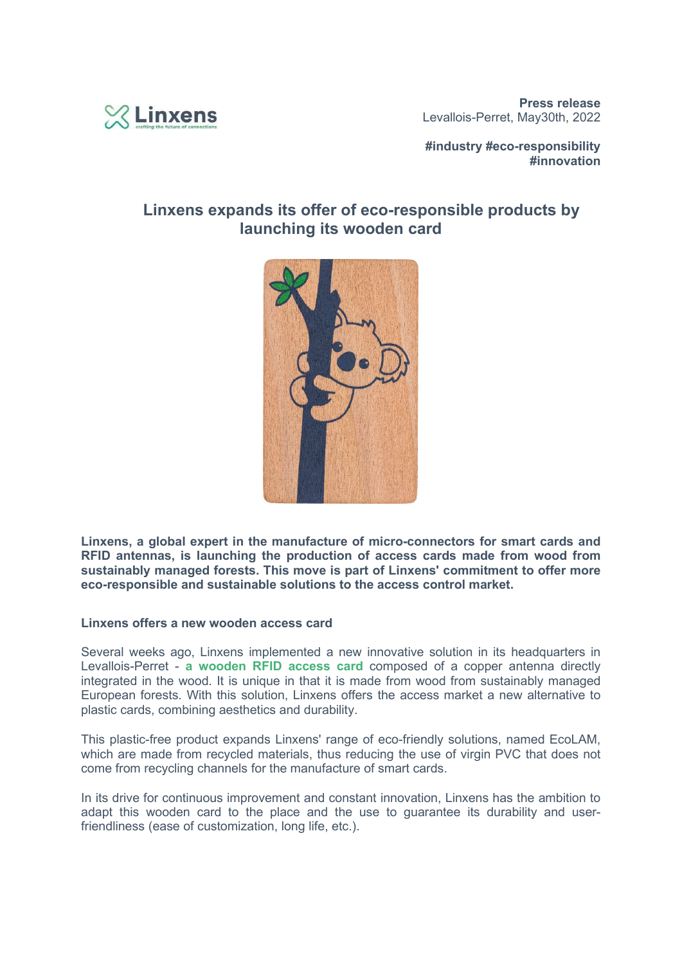

**#industry #eco-responsibility #innovation**

# **Linxens expands its offer of eco-responsible products by launching its wooden card**



**Linxens, a global expert in the manufacture of micro-connectors for smart cards and RFID antennas, is launching the production of access cards made from wood from sustainably managed forests. This move is part of Linxens' commitment to offer more eco-responsible and sustainable solutions to the access control market.**

## **Linxens offers a new wooden access card**

Several weeks ago, Linxens implemented a new innovative solution in its headquarters in Levallois-Perret - **a wooden RFID access card** composed of a copper antenna directly integrated in the wood. It is unique in that it is made from wood from sustainably managed European forests. With this solution, Linxens offers the access market a new alternative to plastic cards, combining aesthetics and durability.

This plastic-free product expands Linxens' range of eco-friendly solutions, named EcoLAM, which are made from recycled materials, thus reducing the use of virgin PVC that does not come from recycling channels for the manufacture of smart cards.

In its drive for continuous improvement and constant innovation, Linxens has the ambition to adapt this wooden card to the place and the use to guarantee its durability and userfriendliness (ease of customization, long life, etc.).